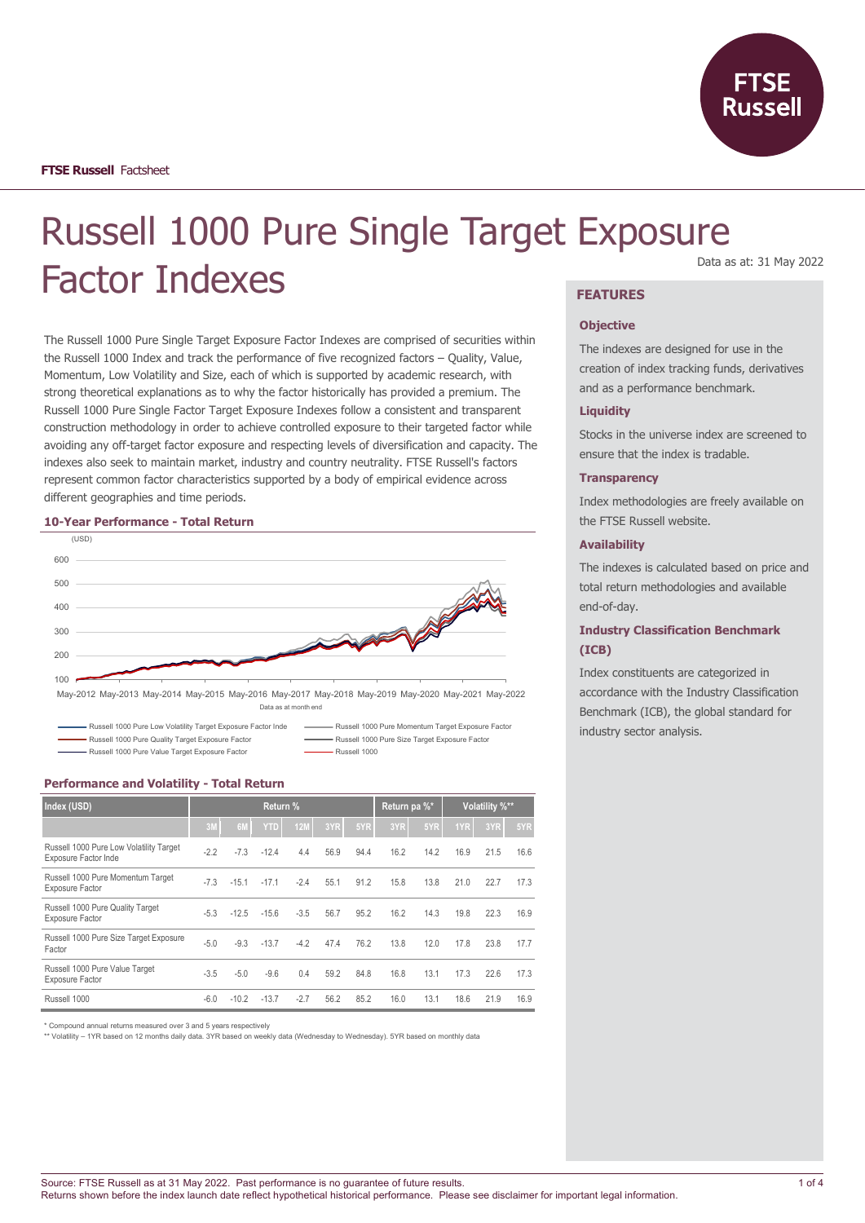

# Russell 1000 Pure Single Target Exposure Factor Indexes Data as at: 31 May 2022

The Russell 1000 Pure Single Target Exposure Factor Indexes are comprised of securities within the Russell 1000 Index and track the performance of five recognized factors – Quality, Value, Momentum, Low Volatility and Size, each of which is supported by academic research, with strong theoretical explanations as to why the factor historically has provided a premium. The Russell 1000 Pure Single Factor Target Exposure Indexes follow a consistent and transparent construction methodology in order to achieve controlled exposure to their targeted factor while avoiding any off-target factor exposure and respecting levels of diversification and capacity. The indexes also seek to maintain market, industry and country neutrality. FTSE Russell's factors represent common factor characteristics supported by a body of empirical evidence across different geographies and time periods.

#### **10-Year Performance - Total Return**



Data as at month end

Russell 1000 Pure Low Volatility Target Exposure Factor Inde The Russell 1000 Pure Momentum Target Exposure Factor

Russell 1000 Pure Value Target Exposure Factor **Russell 1000** 

Russell 1000 Pure Quality Target Exposure Factor **Russell 1000 Pure Size Target Exposure Factor** Russell 1000 Pure Size Target Exposure Factor

#### **Performance and Volatility - Total Return**

| Index (USD)                                                     | Return % |         |            |        |      | Return pa %* |      | Volatility %** |      |      |      |
|-----------------------------------------------------------------|----------|---------|------------|--------|------|--------------|------|----------------|------|------|------|
|                                                                 | 3M       | 6M      | <b>YTD</b> | 12M    | 3YR  | 5YR          | 3YR  | 5YR            | 1YR  | 3YR  | 5YR  |
| Russell 1000 Pure Low Volatility Target<br>Exposure Factor Inde | $-2.2$   | $-7.3$  | $-12.4$    | 4.4    | 56.9 | 94.4         | 16.2 | 14.2           | 16.9 | 21.5 | 16.6 |
| Russell 1000 Pure Momentum Target<br>Exposure Factor            | $-7.3$   | $-15.1$ | $-17.1$    | $-2.4$ | 55.1 | 91.2         | 15.8 | 13.8           | 21.0 | 22.7 | 17.3 |
| Russell 1000 Pure Quality Target<br><b>Exposure Factor</b>      | $-5.3$   | $-12.5$ | $-15.6$    | $-3.5$ | 56.7 | 95.2         | 16.2 | 14.3           | 19.8 | 22.3 | 16.9 |
| Russell 1000 Pure Size Target Exposure<br>Factor                | $-5.0$   | $-9.3$  | $-13.7$    | $-4.2$ | 47.4 | 76.2         | 13.8 | 12.0           | 17.8 | 23.8 | 17.7 |
| Russell 1000 Pure Value Target<br><b>Exposure Factor</b>        | $-3.5$   | $-5.0$  | $-9.6$     | 0.4    | 59.2 | 84.8         | 16.8 | 13.1           | 17.3 | 22.6 | 17.3 |
| Russell 1000                                                    | $-6.0$   | $-10.2$ | $-13.7$    | $-2.7$ | 56.2 | 85.2         | 16.0 | 13.1           | 18.6 | 21.9 | 16.9 |

\* Compound annual returns measured over 3 and 5 years respectively

\*\* Volatility – 1YR based on 12 months daily data. 3YR based on weekly data (Wednesday to Wednesday). 5YR based on monthly data

#### **FEATURES**

#### **Objective**

The indexes are designed for use in the creation of index tracking funds, derivatives and as a performance benchmark.

#### **Liquidity**

Stocks in the universe index are screened to ensure that the index is tradable.

#### **Transparency**

Index methodologies are freely available on the FTSE Russell website.

#### **Availability**

The indexes is calculated based on price and total return methodologies and available end-of-day.

# **Industry Classification Benchmark (ICB)**

Index constituents are categorized in accordance with the Industry Classification Benchmark (ICB), the global standard for industry sector analysis.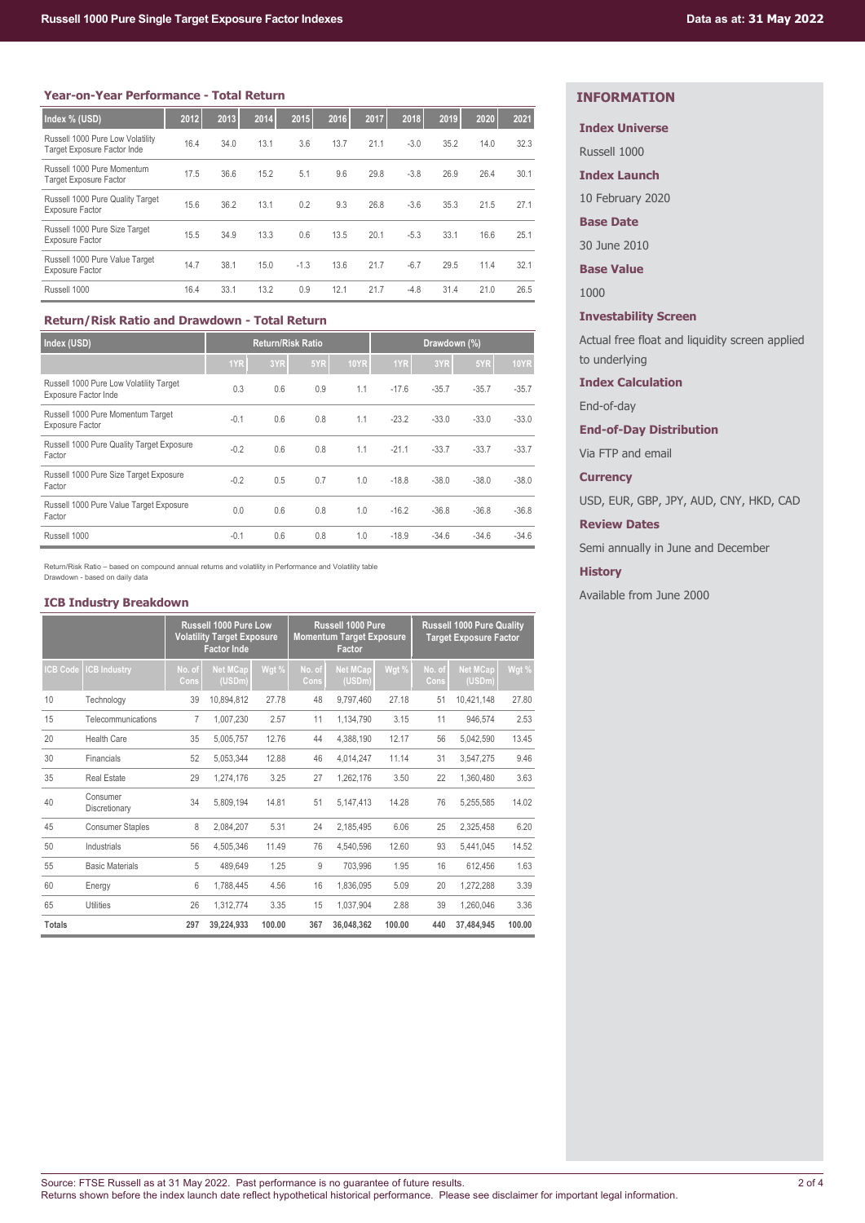#### **Year-on-Year Performance - Total Return**

| Index % (USD)                                                          | 2012 | 2013 | 2014 | 2015   | 2016 | 2017 | 2018   | 2019 | 2020 | 2021 |
|------------------------------------------------------------------------|------|------|------|--------|------|------|--------|------|------|------|
| Russell 1000 Pure Low Volatility<br><b>Target Exposure Factor Inde</b> | 16.4 | 34.0 | 13.1 | 3.6    | 13.7 | 21.1 | $-3.0$ | 35.2 | 14.0 | 32.3 |
| Russell 1000 Pure Momentum<br><b>Target Exposure Factor</b>            | 17.5 | 36.6 | 15.2 | 5.1    | 9.6  | 29.8 | $-3.8$ | 26.9 | 26.4 | 30.1 |
| Russell 1000 Pure Quality Target<br><b>Exposure Factor</b>             | 15.6 | 36.2 | 13.1 | 0.2    | 9.3  | 26.8 | $-3.6$ | 35.3 | 21.5 | 27.1 |
| Russell 1000 Pure Size Target<br><b>Exposure Factor</b>                | 15.5 | 34.9 | 13.3 | 0.6    | 13.5 | 20.1 | $-5.3$ | 33.1 | 16.6 | 25.1 |
| Russell 1000 Pure Value Target<br><b>Exposure Factor</b>               | 14.7 | 38.1 | 15.0 | $-1.3$ | 13.6 | 21.7 | $-6.7$ | 29.5 | 11.4 | 32.1 |
| Russell 1000                                                           | 16.4 | 33.1 | 13.2 | 0.9    | 12.1 | 21.7 | $-4.8$ | 31.4 | 21.0 | 26.5 |

# **Return/Risk Ratio and Drawdown - Total Return**

| Index (USD)                                                     | <b>Return/Risk Ratio</b> |     |     |             | Drawdown (%) |         |         |             |
|-----------------------------------------------------------------|--------------------------|-----|-----|-------------|--------------|---------|---------|-------------|
|                                                                 | 1YR                      | 3YR | 5YR | <b>10YR</b> | 1YR          | 3YR     | 5YR     | <b>10YR</b> |
| Russell 1000 Pure Low Volatility Target<br>Exposure Factor Inde | 0.3                      | 0.6 | 0.9 | 1.1         | $-17.6$      | $-35.7$ | $-35.7$ | $-35.7$     |
| Russell 1000 Pure Momentum Target<br><b>Exposure Factor</b>     | $-0.1$                   | 0.6 | 0.8 | 1.1         | $-23.2$      | $-33.0$ | $-33.0$ | $-33.0$     |
| Russell 1000 Pure Quality Target Exposure<br>Factor             | $-0.2$                   | 0.6 | 0.8 | 1.1         | $-21.1$      | $-33.7$ | $-33.7$ | $-33.7$     |
| Russell 1000 Pure Size Target Exposure<br>Factor                | $-0.2$                   | 0.5 | 0.7 | 1.0         | $-18.8$      | $-38.0$ | $-38.0$ | $-38.0$     |
| Russell 1000 Pure Value Target Exposure<br>Factor               | 0.0                      | 0.6 | 0.8 | 1.0         | $-16.2$      | $-36.8$ | $-36.8$ | $-36.8$     |
| Russell 1000                                                    | $-0.1$                   | 0.6 | 0.8 | 1.0         | $-18.9$      | $-34.6$ | $-34.6$ | $-34.6$     |

Return/Risk Ratio – based on compound annual returns and volatility in Performance and Volatility table Drawdown - based on daily data

#### **ICB Industry Breakdown**

|                 |                           |                | <b>Russell 1000 Pure Low</b><br><b>Volatility Target Exposure</b><br><b>Factor Inde</b> |        | Russell 1000 Pure<br><b>Momentum Target Exposure</b><br>Factor |                           | <b>Russell 1000 Pure Quality</b><br><b>Target Exposure Factor</b> |                |                           |        |
|-----------------|---------------------------|----------------|-----------------------------------------------------------------------------------------|--------|----------------------------------------------------------------|---------------------------|-------------------------------------------------------------------|----------------|---------------------------|--------|
| <b>ICB Code</b> | <b>CB Industry</b>        | No. of<br>Cons | <b>Net MCap</b><br>(USDm)                                                               | Wgt %  | No. of<br>Cons                                                 | <b>Net MCap</b><br>(USDm) | Wgt %                                                             | No. of<br>Cons | <b>Net MCap</b><br>(USDm) | Wgt %  |
| 10              | Technology                | 39             | 10,894,812                                                                              | 27.78  | 48                                                             | 9,797,460                 | 27.18                                                             | 51             | 10,421,148                | 27.80  |
| 15              | Telecommunications        | 7              | 1,007,230                                                                               | 2.57   | 11                                                             | 1,134,790                 | 3.15                                                              | 11             | 946,574                   | 2.53   |
| 20              | Health Care               | 35             | 5,005,757                                                                               | 12.76  | 44                                                             | 4,388,190                 | 12.17                                                             | 56             | 5,042,590                 | 13.45  |
| 30              | Financials                | 52             | 5,053,344                                                                               | 12.88  | 46                                                             | 4,014,247                 | 11.14                                                             | 31             | 3,547,275                 | 9.46   |
| 35              | <b>Real Estate</b>        | 29             | 1,274,176                                                                               | 3.25   | 27                                                             | 1,262,176                 | 3.50                                                              | 22             | 1,360,480                 | 3.63   |
| 40              | Consumer<br>Discretionary | 34             | 5,809,194                                                                               | 14.81  | 51                                                             | 5,147,413                 | 14.28                                                             | 76             | 5,255,585                 | 14.02  |
| 45              | <b>Consumer Staples</b>   | 8              | 2,084,207                                                                               | 5.31   | 24                                                             | 2,185,495                 | 6.06                                                              | 25             | 2,325,458                 | 6.20   |
| 50              | Industrials               | 56             | 4,505,346                                                                               | 11.49  | 76                                                             | 4,540,596                 | 12.60                                                             | 93             | 5,441,045                 | 14.52  |
| 55              | <b>Basic Materials</b>    | 5              | 489,649                                                                                 | 1.25   | 9                                                              | 703,996                   | 1.95                                                              | 16             | 612,456                   | 1.63   |
| 60              | Energy                    | 6              | 1,788,445                                                                               | 4.56   | 16                                                             | 1,836,095                 | 5.09                                                              | 20             | 1,272,288                 | 3.39   |
| 65              | <b>Utilities</b>          | 26             | 1,312,774                                                                               | 3.35   | 15                                                             | 1,037,904                 | 2.88                                                              | 39             | 1,260,046                 | 3.36   |
| <b>Totals</b>   |                           | 297            | 39,224,933                                                                              | 100.00 | 367                                                            | 36.048.362                | 100.00                                                            | 440            | 37.484.945                | 100.00 |

# **INFORMATION**

# **Index Universe**

Russell 1000

### **Index Launch**

10 February 2020

# **Base Date**

30 June 2010

**Base Value**

1000

# **Investability Screen**

Actual free float and liquidity screen applied to underlying

# **Index Calculation**

End-of-day

# **End-of-Day Distribution**

Via FTP and email

# **Currency**

USD, EUR, GBP, JPY, AUD, CNY, HKD, CAD

# **Review Dates**

Semi annually in June and December

#### **History**

Available from June 2000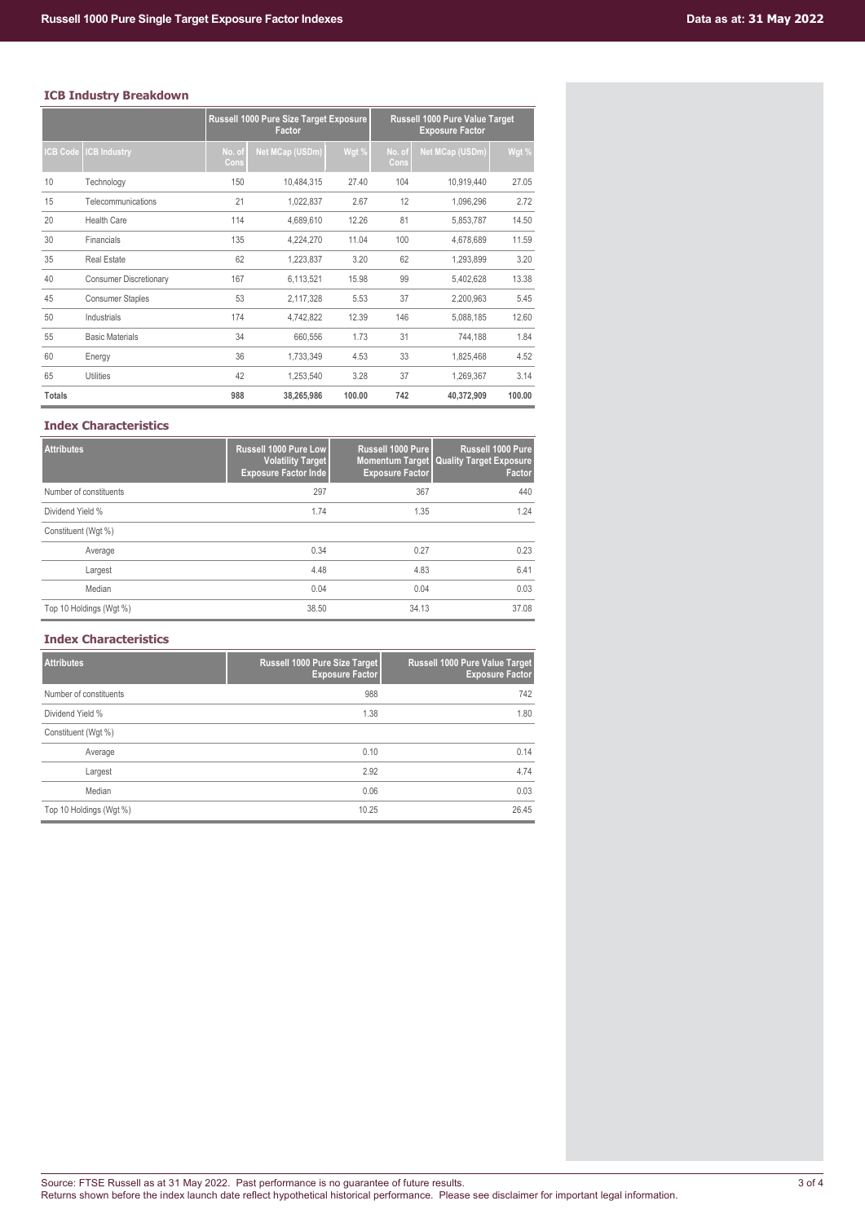# **ICB Industry Breakdown**

|                 |                               | Russell 1000 Pure Size Target Exposure<br>Factor |                 |        | Russell 1000 Pure Value Target<br><b>Exposure Factor</b> |                 |        |  |  |
|-----------------|-------------------------------|--------------------------------------------------|-----------------|--------|----------------------------------------------------------|-----------------|--------|--|--|
| <b>ICB Code</b> | <b>ICB Industry</b>           | No. of<br>Cons                                   | Net MCap (USDm) | Wgt %  | No. of<br>Cons                                           | Net MCap (USDm) | Wgt %  |  |  |
| 10              | Technology                    | 150                                              | 10,484,315      | 27.40  | 104                                                      | 10,919,440      | 27.05  |  |  |
| 15              | Telecommunications            | 21                                               | 1,022,837       | 2.67   | 12                                                       | 1,096,296       | 2.72   |  |  |
| 20              | <b>Health Care</b>            | 114                                              | 4,689,610       | 12.26  | 81                                                       | 5,853,787       | 14.50  |  |  |
| 30              | Financials                    | 135                                              | 4,224,270       | 11.04  | 100                                                      | 4,678,689       | 11.59  |  |  |
| 35              | <b>Real Estate</b>            | 62                                               | 1,223,837       | 3.20   | 62                                                       | 1,293,899       | 3.20   |  |  |
| 40              | <b>Consumer Discretionary</b> | 167                                              | 6,113,521       | 15.98  | 99                                                       | 5,402,628       | 13.38  |  |  |
| 45              | <b>Consumer Staples</b>       | 53                                               | 2,117,328       | 5.53   | 37                                                       | 2,200,963       | 5.45   |  |  |
| 50              | Industrials                   | 174                                              | 4,742,822       | 12.39  | 146                                                      | 5,088,185       | 12.60  |  |  |
| 55              | <b>Basic Materials</b>        | 34                                               | 660,556         | 1.73   | 31                                                       | 744,188         | 1.84   |  |  |
| 60              | Energy                        | 36                                               | 1,733,349       | 4.53   | 33                                                       | 1,825,468       | 4.52   |  |  |
| 65              | <b>Utilities</b>              | 42                                               | 1,253,540       | 3.28   | 37                                                       | 1,269,367       | 3.14   |  |  |
| <b>Totals</b>   |                               | 988                                              | 38,265,986      | 100.00 | 742                                                      | 40,372,909      | 100.00 |  |  |

# **Index Characteristics**

| <b>Attributes</b>       | <b>Russell 1000 Pure Low</b><br><b>Volatility Target</b><br><b>Exposure Factor Inde</b> | Russell 1000 Pure<br><b>Exposure Factor</b> | Russell 1000 Pure<br><b>Momentum Target   Quality Target Exposure</b><br>Factor |
|-------------------------|-----------------------------------------------------------------------------------------|---------------------------------------------|---------------------------------------------------------------------------------|
| Number of constituents  | 297                                                                                     | 367                                         | 440                                                                             |
| Dividend Yield %        | 1.74                                                                                    | 1.35                                        | 1.24                                                                            |
| Constituent (Wgt %)     |                                                                                         |                                             |                                                                                 |
| Average                 | 0.34                                                                                    | 0.27                                        | 0.23                                                                            |
| Largest                 | 4.48                                                                                    | 4.83                                        | 6.41                                                                            |
| Median                  | 0.04                                                                                    | 0.04                                        | 0.03                                                                            |
| Top 10 Holdings (Wgt %) | 38.50                                                                                   | 34.13                                       | 37.08                                                                           |

# **Index Characteristics**

| <b>Attributes</b>       | Russell 1000 Pure Size Target<br><b>Exposure Factor</b> | Russell 1000 Pure Value Target<br><b>Exposure Factor</b> |
|-------------------------|---------------------------------------------------------|----------------------------------------------------------|
| Number of constituents  | 988                                                     | 742                                                      |
| Dividend Yield %        | 1.38                                                    | 1.80                                                     |
| Constituent (Wgt %)     |                                                         |                                                          |
| Average                 | 0.10                                                    | 0.14                                                     |
| Largest                 | 2.92                                                    | 4.74                                                     |
| Median                  | 0.06                                                    | 0.03                                                     |
| Top 10 Holdings (Wgt %) | 10.25                                                   | 26.45                                                    |